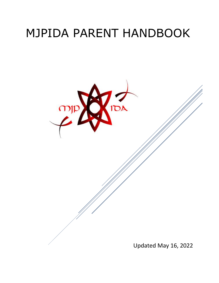# MJPIDA PARENT HANDBOOK

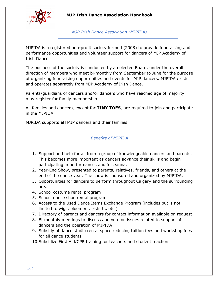

*MJP Irish Dance Association (MJPIDA)*

MJPIDA is a registered non-profit society formed (2008) to provide fundraising and performance opportunities and volunteer support for dancers of MJP Academy of Irish Dance.

The business of the society is conducted by an elected Board, under the overall direction of members who meet bi-monthly from September to June for the purpose of organizing fundraising opportunities and events for MJP dancers. MJPIDA exists and operates separately from MJP Academy of Irish Dance.

Parents/guardians of dancers and/or dancers who have reached age of majority may register for family membership.

All families and dancers, except for **TINY TOES**, are required to join and participate in the MJPIDA.

MJPIDA supports **all** MJP dancers and their families.

*Benefits of MJPIDA*

- 1. Support and help for all from a group of knowledgeable dancers and parents. This becomes more important as dancers advance their skills and begin participating in performances and feiseanna.
- 2. Year-End Show, presented to parents, relatives, friends, and others at the end of the dance year. The show is sponsored and organized by MJPIDA.
- 3. Opportunities for dancers to perform throughout Calgary and the surrounding area
- 4. School costume rental program
- 5. School dance shoe rental program
- 6. Access to the Used Dance Items Exchange Program (includes but is not limited to wigs, bloomers, t-shirts, etc.)
- 7. Directory of parents and dancers for contact information available on request
- 8. Bi-monthly meetings to discuss and vote on issues related to support of dancers and the operation of MJPIDA
- 9. Subsidy of dance studio rental space reducing tuition fees and workshop fees for all dance students
- 10.Subsidize First Aid/CPR training for teachers and student teachers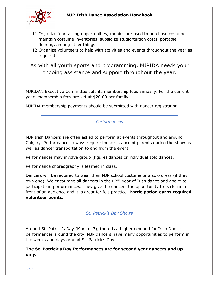

- 11.Organize fundraising opportunities; monies are used to purchase costumes, maintain costume inventories, subsidize studio/tuition costs, portable flooring, among other things.
- 12.Organize volunteers to help with activities and events throughout the year as required.
- As with all youth sports and programming, MJPIDA needs your ongoing assistance and support throughout the year.

MJPIDA's Executive Committee sets its membership fees annually. For the current year, membership fees are set at \$20.00 per family.

MJPIDA membership payments should be submitted with dancer registration.

## *Performances*

MJP Irish Dancers are often asked to perform at events throughout and around Calgary. Performances always require the assistance of parents during the show as well as dancer transportation to and from the event.

Performances may involve group (figure) dances or individual solo dances.

Performance choreography is learned in class.

Dancers will be required to wear their MJP school costume or a solo dress (if they own one). We encourage all dancers in their 2<sup>nd</sup> year of Irish dance and above to participate in performances. They give the dancers the opportunity to perform in front of an audience and it is great for feis practice. **Participation earns required volunteer points.**

## *St. Patrick's Day Shows*

Around St. Patrick's Day (March 17), there is a higher demand for Irish Dance performances around the city. MJP dancers have many opportunities to perform in the weeks and days around St. Patrick's Day.

**The St. Patrick's Day Performances are for second year dancers and up only.**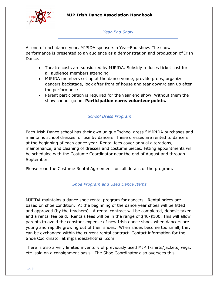

#### *Year-End Show*

At end of each dance year, MJPIDA sponsors a Year-End show. The show performance is presented to an audience as a demonstration and production of Irish Dance.

- Theatre costs are subsidized by MJPIDA. Subsidy reduces ticket cost for all audience members attending
- MJPIDA members set up at the dance venue, provide props, organize dancers backstage, look after front of house and tear down/clean up after the performance
- Parent participation is required for the year end show. Without them the show cannot go on. **Participation earns volunteer points.**

#### *School Dress Program*

Each Irish Dance school has their own unique "school dress." MJPIDA purchases and maintains school dresses for use by dancers. These dresses are rented to dancers at the beginning of each dance year. Rental fees cover annual alterations, maintenance, and cleaning of dresses and costume pieces. Fitting appointments will be scheduled with the Costume Coordinator near the end of August and through September.

Please read the Costume Rental Agreement for full details of the program.

*Shoe Program and Used Dance Items* 

MJPIDA maintains a dance shoe rental program for dancers. Rental prices are based on shoe condition. At the beginning of the dance year shoes will be fitted and approved (by the teachers). A rental contract will be completed, deposit taken and a rental fee paid. Rentals fees will be in the range of \$40-\$100. This will allow parents to avoid the constant expense of new Irish dance shoes when dancers are young and rapidly growing out of their shoes. When shoes become too small, they can be exchanged within the current rental contract. Contact information for the Shoe Coordinator at mjpshoes@hotmail.com.

There is also a very limited inventory of previously used MJP T-shirts/jackets, wigs, etc. sold on a consignment basis. The Shoe Coordinator also oversees this.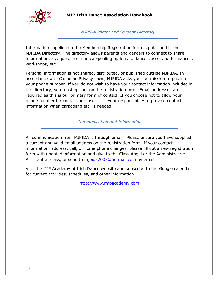

*MJPIDA Parent and Student Directory*

Information supplied on the Membership Registration form is published in the MJPIDA Directory. The directory allows parents and dancers to connect to share information, ask questions, find car-pooling options to dance classes, performances, workshops, etc.

Personal information is not shared, distributed, or published outside MJPIDA. In accordance with Canadian Privacy Laws, MJPIDA asks your permission to publish your phone number. If you do not wish to have your contact information included in the directory, you must opt out on the registration form. Email addresses are required as this is our primary form of contact. If you choose not to allow your phone number for contact purposes, it is your responsibility to provide contact information when carpooling etc. is needed.

*Communication and Information*

All communication from MJPIDA is through email. Please ensure you have supplied a current and valid email address on the registration form. If your contact information, address, cell, or home phone changes, please fill out a new registration form with updated information and give to the Class Angel or the Administrative Assistant at class, or send to [mjpida2007@hotmail.com](mailto:mjpida2007@hotmail.com) by email.

Visit the MJP Academy of Irish Dance website and subscribe to the Google calendar for current activities, schedules, and other information.

[http://www.mjpacademy.com](http://www.mjpacademy.com/)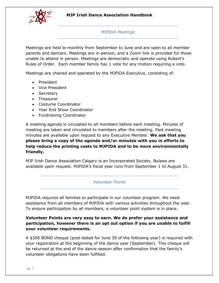

#### *MJPIDA Meetings*

Meetings are held bi-monthly from September to June and are open to all member parents and dancers. Meetings are in-person, and a Zoom link is provided for those unable to attend in person. Meetings are democratic and operate using Robert's Rules of Order. Each member family has 1 vote for any motion requiring a vote.

Meetings are chaired and operated by the MJPIDA Executive, consisting of:

- President
- Vice President
- Secretary
- Treasurer
- Costume Coordinator
- Year End Show Coordinator
- Fundraising Coordinator

A meeting agenda is circulated to all members before each meeting. Minutes of meeting are taken and circulated to members after the meeting. Past meeting minutes are available upon request to any Executive Member. **We ask that you please bring a copy of the agenda and/or minutes with you in efforts to help reduce the printing costs to MJPIDA and to be more environmentally friendly.** 

MJP Irish Dance Association Calgary is an Incorporated Society. Bylaws are available upon request. MJPIDA's fiscal year runs from September 1 to August 31.

*Volunteer Points*

MJPIDA requires all families to participate in our volunteer program. We need assistance from all members of MJPIDA with various activities throughout the year. To ensure participation by all members, a volunteer point system is in place.

## **Volunteer Points are very easy to earn. We do prefer your assistance and participation, however there is an opt out option if you are unable to fulfill your volunteer requirements.**

A \$300 BOND cheque (post-dated for June 30 of the following year) is required with your registration at the beginning of the dance year (September). This cheque will be returned at the end of the dance season after confirmation that the family's volunteer obligations have been fulfilled.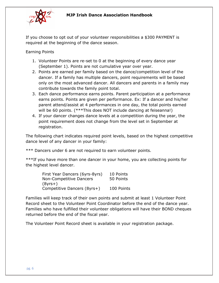

If you choose to opt out of your volunteer responsibilities a \$300 PAYMENT is required at the beginning of the dance season.

Earning Points

- 1. Volunteer Points are re-set to 0 at the beginning of every dance year (September 1). Points are not cumulative year over year.
- 2. Points are earned per family based on the dance/competition level of the dancer. If a family has multiple dancers, point requirements will be based only on the most advanced dancer. All dancers and parents in a family may contribute towards the family point total.
- 3. Each dance performance earns points. Parent participation at a performance earns points. Points are given per performance. Ex: If a dancer and his/her parent attend/assist at 4 performances in one day, the total points earned will be 60 points. (\*\*\*This does NOT include dancing at feiseanna!)
- 4. If your dancer changes dance levels at a competition during the year, the point requirement does not change from the level set in September at registration.

The following chart indicates required point levels, based on the highest competitive dance level of any dancer in your family:

\*\*\* Dancers under 6 are not required to earn volunteer points.

\*\*\*If you have more than one dancer in your home, you are collecting points for the highest level dancer.

| First Year Dancers (6yrs-8yrs) | 10 Points  |
|--------------------------------|------------|
| <b>Non-Competitive Dancers</b> | 50 Points  |
| $(8$ yrs $+)$                  |            |
| Competitive Dancers (8yrs+)    | 100 Points |

Families will keep track of their own points and submit at least 1 Volunteer Point Record sheet to the Volunteer Point Coordinator before the end of the dance year. Families who have fulfilled their volunteer obligations will have their BOND cheques returned before the end of the fiscal year.

The Volunteer Point Record sheet is available in your registration package.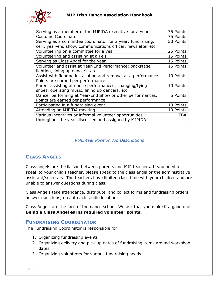

| Serving as a member of the MJPIDA executive for a year          | 75 Points  |
|-----------------------------------------------------------------|------------|
| Costume Coordinator                                             | 75 Points  |
| Serving as a committee coordinator for a year: fundraising,     | 50 Points  |
| ceili, year-end show, communications officer, newsletter etc.   |            |
| Volunteering on a committee for a year                          | 25 Points  |
| Volunteering and assisting at a Feis                            | 15 Points  |
| Serving as Class Angel for the year                             | 15 Points  |
| Volunteer and assist at Year-End Performance: backstage,        | 15 Points  |
| lighting, lining up dancers, etc.                               |            |
| Assist with flooring installation and removal at a performance. | 10 Points  |
| Points are earned per performance.                              |            |
| Parent assisting at dance performances: changing/tying          | 10 Points  |
| shoes, operating music, lining up dancers, etc.                 |            |
| Dancer performing at Year-End Show or other performances.       | 5 Points   |
| Points are earned per performance                               |            |
| Participating in a fundraising event                            | 10 Points  |
| Attending an MJPIDA meeting                                     | 10 Points  |
| Various incentives or informal volunteer opportunities          | <b>TBA</b> |
| throughout the year discussed and assigned by MJPIDA            |            |

#### *Volunteer Position Job Descriptions*

# **CLASS ANGELS**

Class angels are the liaison between parents and MJP teachers. If you need to speak to your child's teacher, please speak to the class angel or the administrative assistant/secretary. The teachers have limited class time with your children and are unable to answer questions during class.

Class Angels take attendance, distribute, and collect forms and fundraising orders, answer questions, etc. at each studio location.

Class Angels are the face of the dance school. We ask that you make it a good one! **Being a Class Angel earns required volunteer points.**

## **FUNDRAISING COORDINATOR**

The Fundraising Coordinator is responsible for:

- 1. Organizing fundraising events
- 2. Organizing delivery and pick-up dates of fundraising items around workshop dates
- 3. Organizing volunteers for various fundraising needs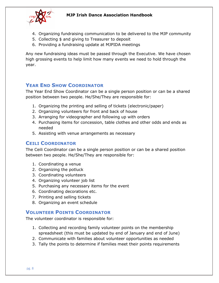

- 4. Organizing fundraising communication to be delivered to the MJP community
- 5. Collecting \$ and giving to Treasurer to deposit
- 6. Providing a fundraising update at MJPIDA meetings

Any new fundraising ideas must be passed through the Executive. We have chosen high grossing events to help limit how many events we need to hold through the year.

# **YEAR END SHOW COORDINATOR**

The Year End Show Coordinator can be a single person position or can be a shared position between two people. He/She/They are responsible for:

- 1. Organizing the printing and selling of tickets (electronic/paper)
- 2. Organizing volunteers for front and back of house
- 3. Arranging for videographer and following up with orders
- 4. Purchasing items for concession, table clothes and other odds and ends as needed
- 5. Assisting with venue arrangements as necessary

## **CEILI COORDINATOR**

The Ceili Coordinator can be a single person position or can be a shared position between two people. He/She/They are responsible for:

- 1. Coordinating a venue
- 2. Organizing the potluck
- 3. Coordinating volunteers
- 4. Organizing volunteer job list
- 5. Purchasing any necessary items for the event
- 6. Coordinating decorations etc.
- 7. Printing and selling tickets
- 8. Organizing an event schedule

## **VOLUNTEER POINTS COORDINATOR**

The volunteer coordinator is responsible for:

- 1. Collecting and recording family volunteer points on the membership spreadsheet (this must be updated by end of January and end of June)
- 2. Communicate with families about volunteer opportunities as needed
- 3. Tally the points to determine if families meet their points requirements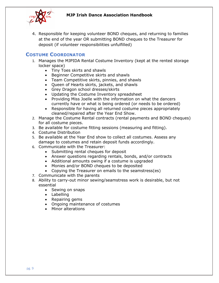

4. Responsible for keeping volunteer BOND cheques, and returning to families at the end of the year OR submitting BOND cheques to the Treasurer for deposit (if volunteer responsibilities unfulfilled)

# **COSTUME COORDINATOR**

- 1. Manages the MJPIDA Rental Costume Inventory (kept at the rented storage locker space)
	- Tiny Toes skirts and shawls
	- Beginner Competitive skirts and shawls
	- Team Competitive skirts, pinnies, and shawls
	- Queen of Hearts skirts, jackets, and shawls
	- Grey Dragon school dresses/skirts
	- Updating the Costume Inventory spreadsheet
	- Providing Miss Joelle with the information on what the dancers currently have or what is being ordered (or needs to be ordered)
	- Responsible for having all returned costume pieces appropriately cleaned/repaired after the Year End Show.
- 2. Manage the Costume Rental contracts (rental payments and BOND cheques) for all costume pieces.
- 3. Be available for costume fitting sessions (measuring and fitting).
- 4. Costume Distribution
- 5. Be available at the Year End show to collect all costumes. Assess any damage to costumes and retain deposit funds accordingly.
- 6. Communicate with the Treasurer:
	- Submitting rental cheques for deposit
	- Answer questions regarding rentals, bonds, and/or contracts
	- Additional amounts owing if a costume is upgraded
	- Monies and/or BOND cheques to be deposited
	- Copying the Treasurer on emails to the seamstress(es)
- 7. Communicate with the parents
- 8. Ability to carry-out minor sewing/seamstress work is desirable, but not essential
	- Sewing on snaps
	- Labelling
	- Repairing gems
	- Ongoing maintenance of costumes
	- Minor alterations